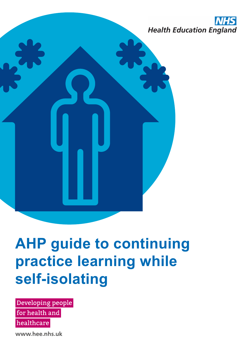

# **AHP guide to continuing practice learning while self-isolating**

Developing people

for health and

healthcare

www.hee.nhs.uk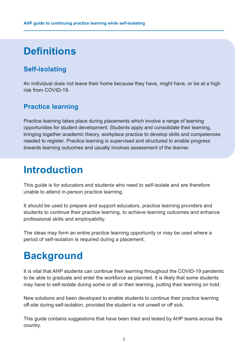# **Definitions**

# **Self-isolating**

An individual does not leave their home because they have, might have, or be at a high risk from COVID-19.

# **Practice learning**

Practice learning takes place during placements which involve a range of learning opportunities for student development. Students apply and consolidate their learning, bringing together academic theory, workplace practice to develop skills and competences needed to register. Practice learning is supervised and structured to enable progress towards learning outcomes and usually involves assessment of the learner.

# **Introduction**

This guide is for educators and students who need to self-isolate and are therefore unable to attend in-person practice learning.

It should be used to prepare and support educators, practice learning providers and students to continue their practice learning, to achieve learning outcomes and enhance professional skills and employability.

The ideas may form an entire practice learning opportunity or may be used where a period of self-isolation is required during a placement.

# **Background**

It is vital that AHP students can continue their learning throughout the COVID-19 pandemic to be able to graduate and enter the workforce as planned. It is likely that some students may have to self-isolate during some or all or their learning, putting their learning on hold.

New solutions and been developed to enable students to continue their practice learning off-site during self-isolation, provided the student is not unwell or off sick.

This guide contains suggestions that have been tried and tested by AHP teams across the country.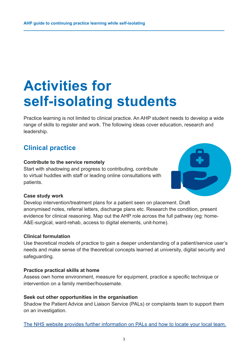# **Activities for self-isolating students**

Practice learning is not limited to clinical practice. An AHP student needs to develop a wide range of skills to register and work. The following ideas cover education, research and leadership.

## **Clinical practice**

#### **Contribute to the service remotely**

Start with shadowing and progress to contributing, contribute to virtual huddles with staff or leading online consultations with patients.



#### **Case study work**

Develop intervention/treatment plans for a patient seen on placement. Draft anonymised notes, referral letters, discharge plans etc. Research the condition, present evidence for clinical reasoning. Map out the AHP role across the full pathway (eg: home-A&E-surgical, ward-rehab, access to digital elements, unit-home).

#### **Clinical formulation**

Use theoretical models of practice to gain a deeper understanding of a patient/service user's needs and make sense of the theoretical concepts learned at university, digital security and safeguarding.

#### **Practice practical skills at home**

Assess own home environment, measure for equipment, practice a specific technique or intervention on a family member/housemate.

#### **Seek out other opportunities in the organisation**

Shadow the Patient Advice and Liaison Service (PALs) or complaints team to support them on an investigation.

[The NHS website provides further information on PALs and how to locate your local team.](https://www.nhs.uk/nhs-services/hospitals/what-is-pals-patient-advice-and-liaison-service/)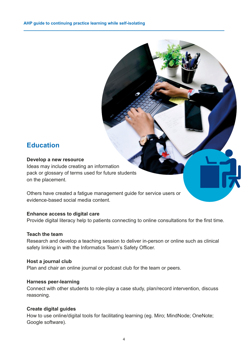### **Education**

#### **Develop a new resource**

Ideas may include creating an information pack or glossary of terms used for future students on the placement.

Others have created a fatigue management guide for service users or evidence-based social media content.

#### **Enhance access to digital care**

Provide digital literacy help to patients connecting to online consultations for the first time.

#### **Teach the team**

Research and develop a teaching session to deliver in-person or online such as clinical safety linking in with the Informatics Team's Safety Officer.

#### **Host a journal club**

Plan and chair an online journal or podcast club for the team or peers.

#### **Harness peer-learning**

Connect with other students to role-play a case study, plan/record intervention, discuss reasoning.

#### **Create digital guides**

How to use online/digital tools for facilitating learning (eg. Miro; MindNode; OneNote; Google software).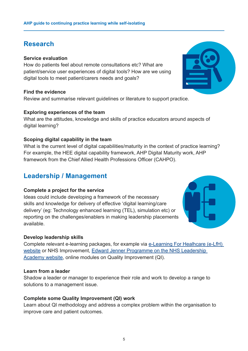### **Research**

#### **Service evaluation**

How do patients feel about remote consultations etc? What are patient/service user experiences of digital tools? How are we using digital tools to meet patient/carers needs and goals?

#### **Find the evidence**

Review and summarise relevant guidelines or literature to support practice.

#### **Exploring experiences of the team**

What are the attitudes, knowledge and skills of practice educators around aspects of digital learning?

#### **Scoping digital capability in the team**

What is the current level of digital capabilities/maturity in the context of practice learning? For example, the HEE digital capability framework, AHP Digital Maturity work, AHP framework from the Chief Allied Health Professions Officer (CAHPO).

### **Leadership / Management**

#### **Complete a project for the service**

Ideas could include developing a framework of the necessary skills and knowledge for delivery of effective 'digital learning/care delivery' (eg: Technology enhanced learning (TEL), simulation etc) or reporting on the challenges/enablers in making leadership placements available.

#### **Develop leadership skills**

Complete relevant e-learning packages, for example via [e-Learning For Healhcare \(e-LfH\)](https://portal.e-lfh.org.uk/)  [website](https://portal.e-lfh.org.uk/) or NHS Improvement, [Edward Jenner Programme on the NHS Leadership](https://www.leadershipacademy.nhs.uk/programmes/the-edward-jenner-programme/)  [Academy website,](https://www.leadershipacademy.nhs.uk/programmes/the-edward-jenner-programme/) online modules on Quality Improvement (QI).

#### **Learn from a leader**

Shadow a leader or manager to experience their role and work to develop a range to solutions to a management issue.

#### **Complete some Quality Improvement (QI) work**

Learn about QI methodology and address a complex problem within the organisation to improve care and patient outcomes.



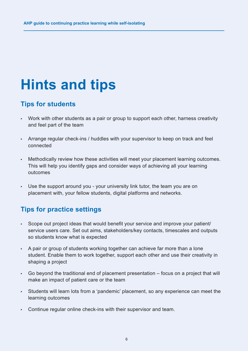# **Hints and tips**

## **Tips for students**

- Work with other students as a pair or group to support each other, harness creativity and feel part of the team
- Arrange regular check-ins / huddles with your supervisor to keep on track and feel connected
- Methodically review how these activities will meet your placement learning outcomes. This will help you identify gaps and consider ways of achieving all your learning outcomes
- Use the support around you your university link tutor, the team you are on placement with, your fellow students, digital platforms and networks.

# **Tips for practice settings**

- Scope out project ideas that would benefit your service and improve your patient/ service users care. Set out aims, stakeholders/key contacts, timescales and outputs so students know what is expected
- A pair or group of students working together can achieve far more than a lone student. Enable them to work together, support each other and use their creativity in shaping a project
- Go beyond the traditional end of placement presentation focus on a project that will make an impact of patient care or the team
- Students will learn lots from a 'pandemic' placement, so any experience can meet the learning outcomes
- Continue regular online check-ins with their supervisor and team.